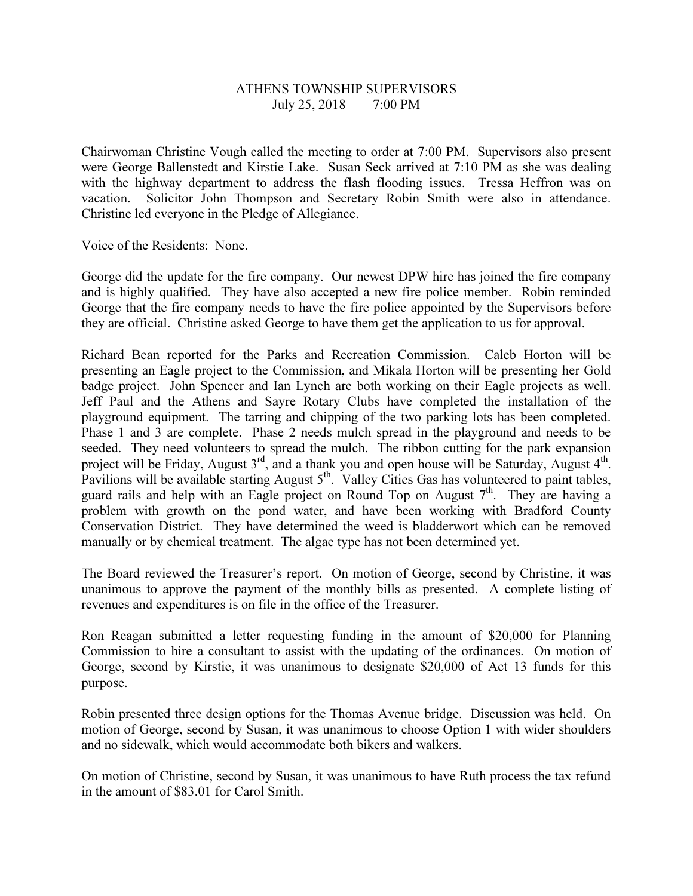## ATHENS TOWNSHIP SUPERVISORS July 25, 2018 7:00 PM

Chairwoman Christine Vough called the meeting to order at 7:00 PM. Supervisors also present were George Ballenstedt and Kirstie Lake. Susan Seck arrived at 7:10 PM as she was dealing with the highway department to address the flash flooding issues. Tressa Heffron was on vacation. Solicitor John Thompson and Secretary Robin Smith were also in attendance. Christine led everyone in the Pledge of Allegiance.

Voice of the Residents: None.

George did the update for the fire company. Our newest DPW hire has joined the fire company and is highly qualified. They have also accepted a new fire police member. Robin reminded George that the fire company needs to have the fire police appointed by the Supervisors before they are official. Christine asked George to have them get the application to us for approval.

Richard Bean reported for the Parks and Recreation Commission. Caleb Horton will be presenting an Eagle project to the Commission, and Mikala Horton will be presenting her Gold badge project. John Spencer and Ian Lynch are both working on their Eagle projects as well. Jeff Paul and the Athens and Sayre Rotary Clubs have completed the installation of the playground equipment. The tarring and chipping of the two parking lots has been completed. Phase 1 and 3 are complete. Phase 2 needs mulch spread in the playground and needs to be seeded. They need volunteers to spread the mulch. The ribbon cutting for the park expansion project will be Friday, August  $3^{rd}$ , and a thank you and open house will be Saturday, August  $4^{th}$ . Pavilions will be available starting August  $5<sup>th</sup>$ . Valley Cities Gas has volunteered to paint tables, guard rails and help with an Eagle project on Round Top on August  $7<sup>th</sup>$ . They are having a problem with growth on the pond water, and have been working with Bradford County Conservation District. They have determined the weed is bladderwort which can be removed manually or by chemical treatment. The algae type has not been determined yet.

The Board reviewed the Treasurer's report. On motion of George, second by Christine, it was unanimous to approve the payment of the monthly bills as presented. A complete listing of revenues and expenditures is on file in the office of the Treasurer.

Ron Reagan submitted a letter requesting funding in the amount of \$20,000 for Planning Commission to hire a consultant to assist with the updating of the ordinances. On motion of George, second by Kirstie, it was unanimous to designate \$20,000 of Act 13 funds for this purpose.

Robin presented three design options for the Thomas Avenue bridge. Discussion was held. On motion of George, second by Susan, it was unanimous to choose Option 1 with wider shoulders and no sidewalk, which would accommodate both bikers and walkers.

On motion of Christine, second by Susan, it was unanimous to have Ruth process the tax refund in the amount of \$83.01 for Carol Smith.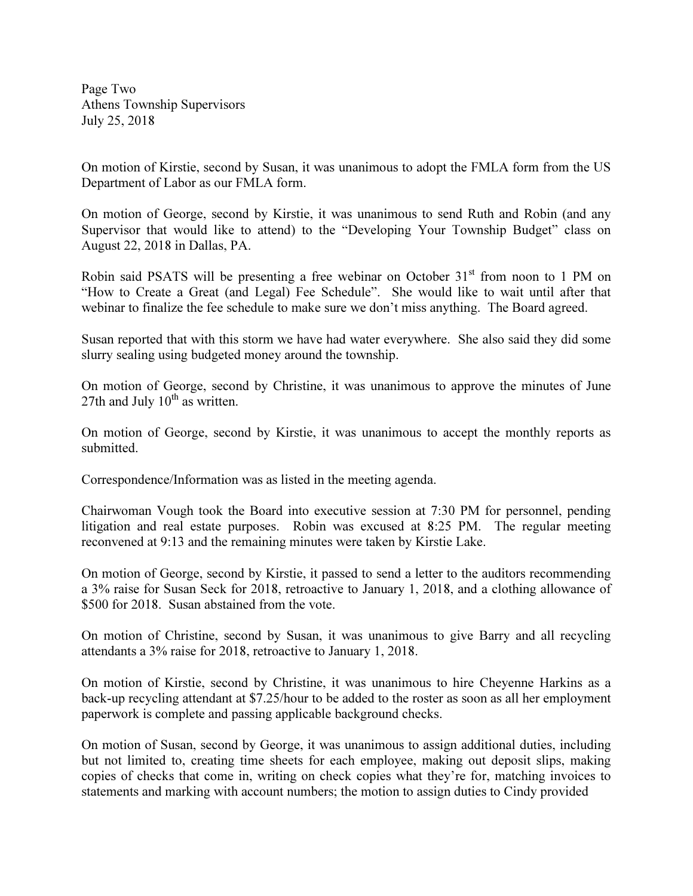Page Two Athens Township Supervisors July 25, 2018

On motion of Kirstie, second by Susan, it was unanimous to adopt the FMLA form from the US Department of Labor as our FMLA form.

On motion of George, second by Kirstie, it was unanimous to send Ruth and Robin (and any Supervisor that would like to attend) to the "Developing Your Township Budget" class on August 22, 2018 in Dallas, PA.

Robin said PSATS will be presenting a free webinar on October 31<sup>st</sup> from noon to 1 PM on "How to Create a Great (and Legal) Fee Schedule". She would like to wait until after that webinar to finalize the fee schedule to make sure we don't miss anything. The Board agreed.

Susan reported that with this storm we have had water everywhere. She also said they did some slurry sealing using budgeted money around the township.

On motion of George, second by Christine, it was unanimous to approve the minutes of June 27th and July  $10^{th}$  as written.

On motion of George, second by Kirstie, it was unanimous to accept the monthly reports as submitted.

Correspondence/Information was as listed in the meeting agenda.

Chairwoman Vough took the Board into executive session at 7:30 PM for personnel, pending litigation and real estate purposes. Robin was excused at 8:25 PM. The regular meeting reconvened at 9:13 and the remaining minutes were taken by Kirstie Lake.

On motion of George, second by Kirstie, it passed to send a letter to the auditors recommending a 3% raise for Susan Seck for 2018, retroactive to January 1, 2018, and a clothing allowance of \$500 for 2018. Susan abstained from the vote.

On motion of Christine, second by Susan, it was unanimous to give Barry and all recycling attendants a 3% raise for 2018, retroactive to January 1, 2018.

On motion of Kirstie, second by Christine, it was unanimous to hire Cheyenne Harkins as a back-up recycling attendant at \$7.25/hour to be added to the roster as soon as all her employment paperwork is complete and passing applicable background checks.

On motion of Susan, second by George, it was unanimous to assign additional duties, including but not limited to, creating time sheets for each employee, making out deposit slips, making copies of checks that come in, writing on check copies what they're for, matching invoices to statements and marking with account numbers; the motion to assign duties to Cindy provided